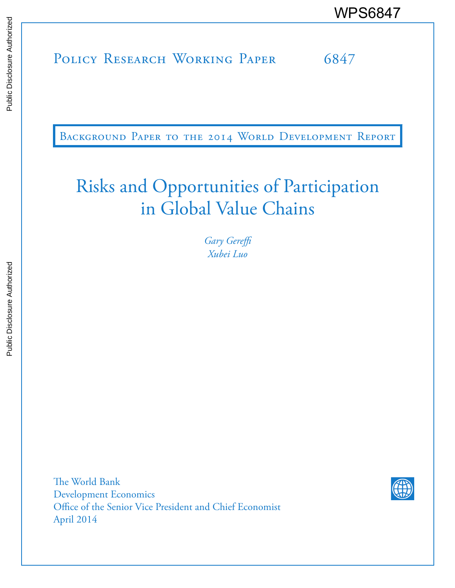# POLICY RESEARCH WORKING PAPER 6847 WPS6847

BACKGROUND PAPER TO THE 2014 WORLD DEVELOPMENT REPORT

# Risks and Opportunities of Participation in Global Value Chains

*Gary Gereffi Xubei Luo* 

The World Bank Development Economics Office of the Senior Vice President and Chief Economist April 2014

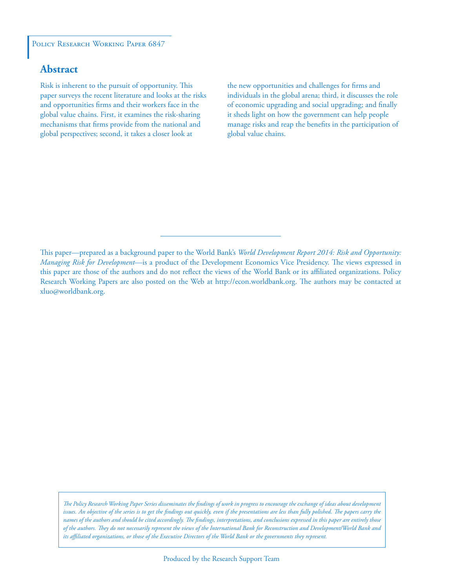#### POLICY RESEARCH WORKING PAPER 6847

## **Abstract**

Risk is inherent to the pursuit of opportunity. This paper surveys the recent literature and looks at the risks and opportunities firms and their workers face in the global value chains. First, it examines the risk-sharing mechanisms that firms provide from the national and global perspectives; second, it takes a closer look at

the new opportunities and challenges for firms and individuals in the global arena; third, it discusses the role of economic upgrading and social upgrading; and finally it sheds light on how the government can help people manage risks and reap the benefits in the participation of global value chains.

This paper—prepared as a background paper to the World Bank's *World Development Report 2014: Risk and Opportunity: Managing Risk for Development*—is a product of the Development Economics Vice Presidency. The views expressed in this paper are those of the authors and do not reflect the views of the World Bank or its affiliated organizations. Policy Research Working Papers are also posted on the Web at http://econ.worldbank.org. The authors may be contacted at xluo@worldbank.org.

*The Policy Research Working Paper Series disseminates the findings of work in progress to encourage the exchange of ideas about development*  issues. An objective of the series is to get the findings out quickly, even if the presentations are less than fully polished. The papers carry the *names of the authors and should be cited accordingly. The findings, interpretations, and conclusions expressed in this paper are entirely those of the authors. They do not necessarily represent the views of the International Bank for Reconstruction and Development/World Bank and its affiliated organizations, or those of the Executive Directors of the World Bank or the governments they represent.*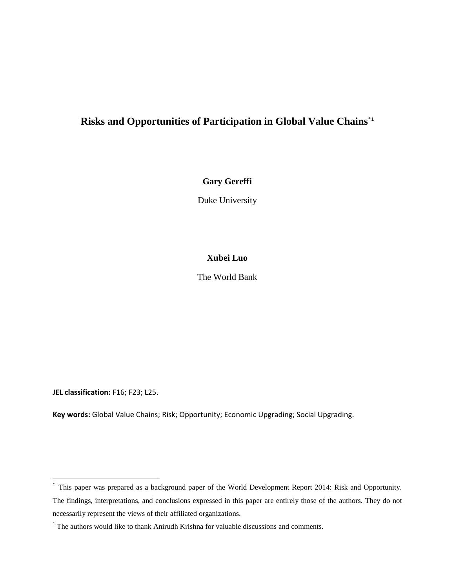# **Risks and Opportunities of Participation in Global Value Chains[\\*](#page-2-0)[1](#page-2-1)**

**Gary Gereffi**

Duke University

### **Xubei Luo**

The World Bank

**JEL classification:** F16; F23; L25.

l

**Key words:** Global Value Chains; Risk; Opportunity; Economic Upgrading; Social Upgrading.

<span id="page-2-0"></span><sup>\*</sup> This paper was prepared as a background paper of the World Development Report 2014: Risk and Opportunity. The findings, interpretations, and conclusions expressed in this paper are entirely those of the authors. They do not necessarily represent the views of their affiliated organizations.

<span id="page-2-1"></span><sup>&</sup>lt;sup>1</sup> The authors would like to thank Anirudh Krishna for valuable discussions and comments.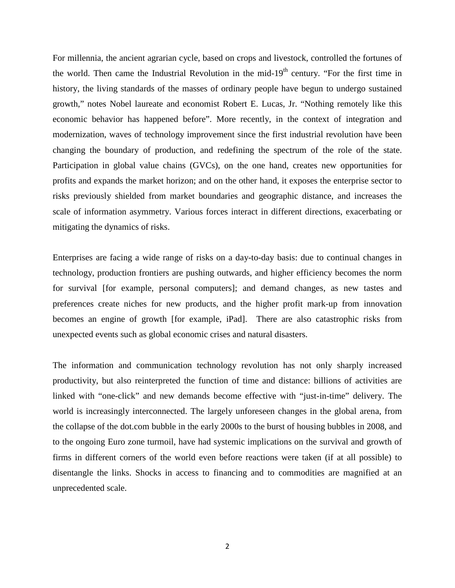For millennia, the ancient agrarian cycle, based on crops and livestock, controlled the fortunes of the world. Then came the Industrial Revolution in the mid-19<sup>th</sup> century. "For the first time in history, the living standards of the masses of ordinary people have begun to undergo sustained growth," notes Nobel laureate and economist [Robert E. Lucas, Jr.](http://en.wikipedia.org/wiki/Robert_Lucas,_Jr.) "Nothing remotely like this economic behavior has happened before". More recently, in the context of integration and modernization, waves of technology improvement since the first industrial revolution have been changing the boundary of production, and redefining the spectrum of the role of the state. Participation in global value chains (GVCs), on the one hand, creates new opportunities for profits and expands the market horizon; and on the other hand, it exposes the enterprise sector to risks previously shielded from market boundaries and geographic distance, and increases the scale of information asymmetry. Various forces interact in different directions, exacerbating or mitigating the dynamics of risks.

Enterprises are facing a wide range of risks on a day-to-day basis: due to continual changes in technology, production frontiers are pushing outwards, and higher efficiency becomes the norm for survival [for example, personal computers]; and demand changes, as new tastes and preferences create niches for new products, and the higher profit mark-up from innovation becomes an engine of growth [for example, iPad]. There are also catastrophic risks from unexpected events such as global economic crises and natural disasters.

The information and communication technology revolution has not only sharply increased productivity, but also reinterpreted the function of time and distance: billions of activities are linked with "one-click" and new demands become effective with "just-in-time" delivery. The world is increasingly interconnected. The largely unforeseen changes in the global arena, from the collapse of the dot.com bubble in the early 2000s to the burst of housing bubbles in 2008, and to the ongoing Euro zone turmoil, have had systemic implications on the survival and growth of firms in different corners of the world even before reactions were taken (if at all possible) to disentangle the links. Shocks in access to financing and to commodities are magnified at an unprecedented scale.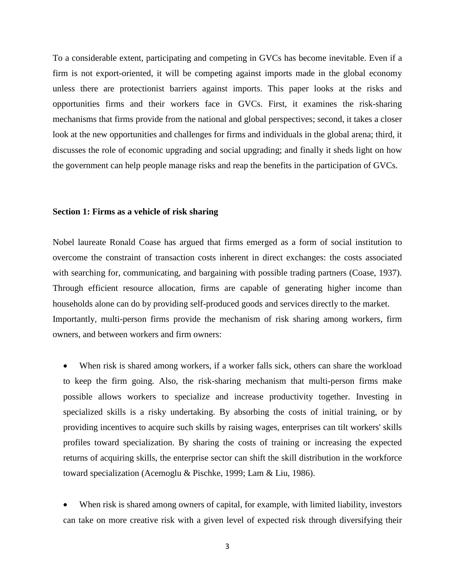To a considerable extent, participating and competing in GVCs has become inevitable. Even if a firm is not export-oriented, it will be competing against imports made in the global economy unless there are protectionist barriers against imports. This paper looks at the risks and opportunities firms and their workers face in GVCs. First, it examines the risk-sharing mechanisms that firms provide from the national and global perspectives; second, it takes a closer look at the new opportunities and challenges for firms and individuals in the global arena; third, it discusses the role of economic upgrading and social upgrading; and finally it sheds light on how the government can help people manage risks and reap the benefits in the participation of GVCs.

#### **Section 1: Firms as a vehicle of risk sharing**

Nobel laureate Ronald Coase has argued that firms emerged as a form of social institution to overcome the constraint of transaction costs inherent in direct exchanges: the costs associated with searching for, communicating, and bargaining with possible trading partners (Coase, 1937). Through efficient resource allocation, firms are capable of generating higher income than households alone can do by providing self-produced goods and services directly to the market. Importantly, multi-person firms provide the mechanism of risk sharing among workers, firm owners, and between workers and firm owners:

• When risk is shared among workers, if a worker falls sick, others can share the workload to keep the firm going. Also, the risk-sharing mechanism that multi-person firms make possible allows workers to specialize and increase productivity together. Investing in specialized skills is a risky undertaking. By absorbing the costs of initial training, or by providing incentives to acquire such skills by raising wages, enterprises can tilt workers' skills profiles toward specialization. By sharing the costs of training or increasing the expected returns of acquiring skills, the enterprise sector can shift the skill distribution in the workforce toward specialization (Acemoglu & Pischke, 1999; Lam & Liu, 1986).

When risk is shared among owners of capital, for example, with limited liability, investors can take on more creative risk with a given level of expected risk through diversifying their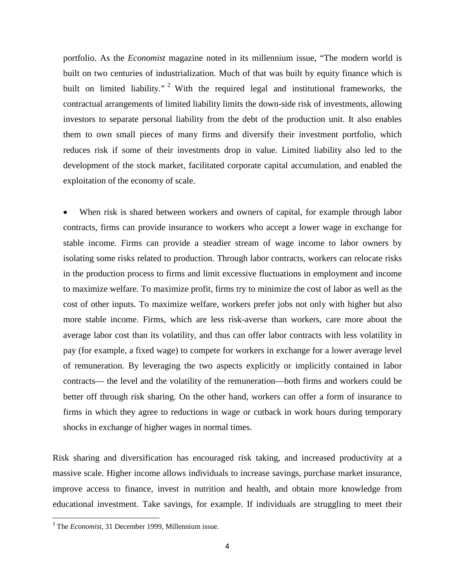portfolio. As the *Economist* magazine noted in its millennium issue, "The modern world is built on two centuries of industrialization. Much of that was built by equity finance which is built on limited liability.<sup>" [2](#page-5-0)</sup> With the required legal and institutional frameworks, the contractual arrangements of limited liability limits the down-side risk of investments, allowing investors to separate personal liability from the debt of the production unit. It also enables them to own small pieces of many firms and diversify their investment portfolio, which reduces risk if some of their investments drop in value. Limited liability also led to the development of the stock market, facilitated corporate capital accumulation, and enabled the exploitation of the economy of scale.

• When risk is shared between workers and owners of capital, for example through labor contracts, firms can provide insurance to workers who accept a lower wage in exchange for stable income. Firms can provide a steadier stream of wage income to labor owners by isolating some risks related to production. Through labor contracts, workers can relocate risks in the production process to firms and limit excessive fluctuations in employment and income to maximize welfare. To maximize profit, firms try to minimize the cost of labor as well as the cost of other inputs. To maximize welfare, workers prefer jobs not only with higher but also more stable income. Firms, which are less risk-averse than workers, care more about the average labor cost than its volatility, and thus can offer labor contracts with less volatility in pay (for example, a fixed wage) to compete for workers in exchange for a lower average level of remuneration. By leveraging the two aspects explicitly or implicitly contained in labor contracts— the level and the volatility of the remuneration—both firms and workers could be better off through risk sharing. On the other hand, workers can offer a form of insurance to firms in which they agree to reductions in wage or cutback in work hours during temporary shocks in exchange of higher wages in normal times.

Risk sharing and diversification has encouraged risk taking, and increased productivity at a massive scale. Higher income allows individuals to increase savings, purchase market insurance, improve access to finance, invest in nutrition and health, and obtain more knowledge from educational investment. Take savings, for example. If individuals are struggling to meet their

 $\overline{\phantom{a}}$ 

<span id="page-5-0"></span><sup>2</sup> The *Economist*, 31 December 1999, Millennium issue.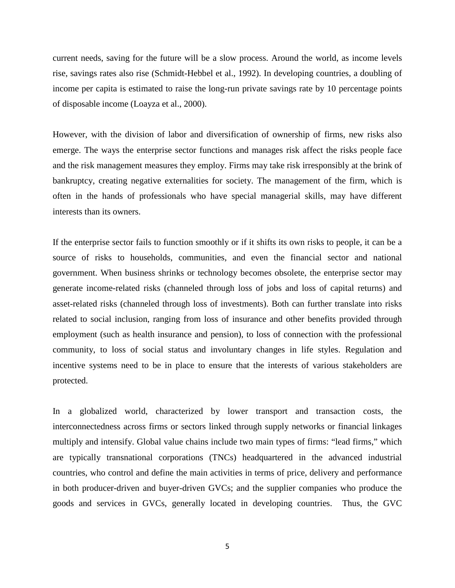current needs, saving for the future will be a slow process. Around the world, as income levels rise, savings rates also rise (Schmidt-Hebbel et al., 1992). In developing countries, a doubling of income per capita is estimated to raise the long-run private savings rate by 10 percentage points of disposable income (Loayza et al., 2000).

However, with the division of labor and diversification of ownership of firms, new risks also emerge. The ways the enterprise sector functions and manages risk affect the risks people face and the risk management measures they employ. Firms may take risk irresponsibly at the brink of bankruptcy, creating negative externalities for society. The management of the firm, which is often in the hands of professionals who have special managerial skills, may have different interests than its owners.

If the enterprise sector fails to function smoothly or if it shifts its own risks to people, it can be a source of risks to households, communities, and even the financial sector and national government. When business shrinks or technology becomes obsolete, the enterprise sector may generate income-related risks (channeled through loss of jobs and loss of capital returns) and asset-related risks (channeled through loss of investments). Both can further translate into risks related to social inclusion, ranging from loss of insurance and other benefits provided through employment (such as health insurance and pension), to loss of connection with the professional community, to loss of social status and involuntary changes in life styles. Regulation and incentive systems need to be in place to ensure that the interests of various stakeholders are protected.

In a globalized world, characterized by lower transport and transaction costs, the interconnectedness across firms or sectors linked through supply networks or financial linkages multiply and intensify. Global value chains include two main types of firms: "lead firms," which are typically transnational corporations (TNCs) headquartered in the advanced industrial countries, who control and define the main activities in terms of price, delivery and performance in both producer-driven and buyer-driven GVCs; and the supplier companies who produce the goods and services in GVCs, generally located in developing countries. Thus, the GVC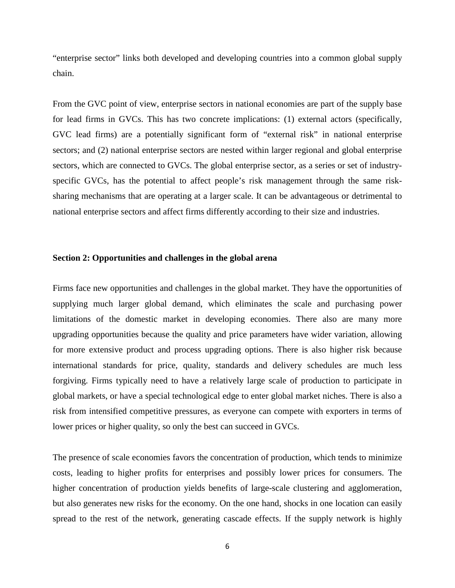"enterprise sector" links both developed and developing countries into a common global supply chain.

From the GVC point of view, enterprise sectors in national economies are part of the supply base for lead firms in GVCs. This has two concrete implications: (1) external actors (specifically, GVC lead firms) are a potentially significant form of "external risk" in national enterprise sectors; and (2) national enterprise sectors are nested within larger regional and global enterprise sectors, which are connected to GVCs. The global enterprise sector, as a series or set of industryspecific GVCs, has the potential to affect people's risk management through the same risksharing mechanisms that are operating at a larger scale. It can be advantageous or detrimental to national enterprise sectors and affect firms differently according to their size and industries.

#### **Section 2: Opportunities and challenges in the global arena**

Firms face new opportunities and challenges in the global market. They have the opportunities of supplying much larger global demand, which eliminates the scale and purchasing power limitations of the domestic market in developing economies. There also are many more upgrading opportunities because the quality and price parameters have wider variation, allowing for more extensive product and process upgrading options. There is also higher risk because international standards for price, quality, standards and delivery schedules are much less forgiving. Firms typically need to have a relatively large scale of production to participate in global markets, or have a special technological edge to enter global market niches. There is also a risk from intensified competitive pressures, as everyone can compete with exporters in terms of lower prices or higher quality, so only the best can succeed in GVCs.

The presence of scale economies favors the concentration of production, which tends to minimize costs, leading to higher profits for enterprises and possibly lower prices for consumers. The higher concentration of production yields benefits of large-scale clustering and agglomeration, but also generates new risks for the economy. On the one hand, shocks in one location can easily spread to the rest of the network, generating cascade effects. If the supply network is highly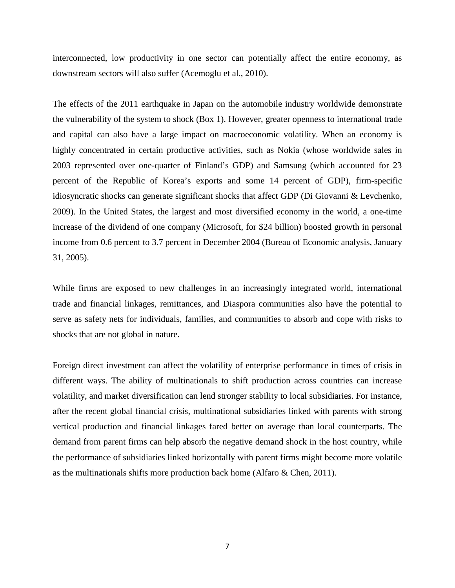interconnected, low productivity in one sector can potentially affect the entire economy, as downstream sectors will also suffer (Acemoglu et al., 2010).

The effects of the 2011 earthquake in Japan on the automobile industry worldwide demonstrate the vulnerability of the system to shock (Box 1). However, greater openness to international trade and capital can also have a large impact on macroeconomic volatility. When an economy is highly concentrated in certain productive activities, such as Nokia (whose worldwide sales in 2003 represented over one-quarter of Finland's GDP) and Samsung (which accounted for 23 percent of the Republic of Korea's exports and some 14 percent of GDP), firm-specific idiosyncratic shocks can generate significant shocks that affect GDP (Di Giovanni & Levchenko, 2009). In the United States, the largest and most diversified economy in the world, a one-time increase of the dividend of one company (Microsoft, for \$24 billion) boosted growth in personal income from 0.6 percent to 3.7 percent in December 2004 (Bureau of Economic analysis, January 31, 2005).

While firms are exposed to new challenges in an increasingly integrated world, international trade and financial linkages, remittances, and Diaspora communities also have the potential to serve as safety nets for individuals, families, and communities to absorb and cope with risks to shocks that are not global in nature.

Foreign direct investment can affect the volatility of enterprise performance in times of crisis in different ways. The ability of multinationals to shift production across countries can increase volatility, and market diversification can lend stronger stability to local subsidiaries. For instance, after the recent global financial crisis, multinational subsidiaries linked with parents with strong vertical production and financial linkages fared better on average than local counterparts. The demand from parent firms can help absorb the negative demand shock in the host country, while the performance of subsidiaries linked horizontally with parent firms might become more volatile as the multinationals shifts more production back home (Alfaro & Chen, 2011).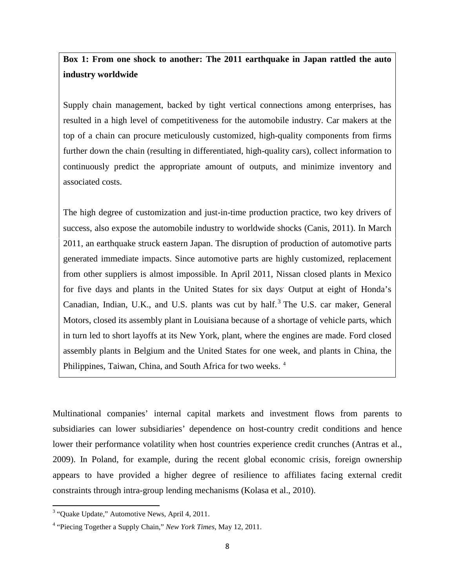# **Box 1: From one shock to another: The 2011 earthquake in Japan rattled the auto industry worldwide**

Supply chain management, backed by tight vertical connections among enterprises, has resulted in a high level of competitiveness for the automobile industry. Car makers at the top of a chain can procure meticulously customized, high-quality components from firms further down the chain (resulting in differentiated, high-quality cars), collect information to continuously predict the appropriate amount of outputs, and minimize inventory and associated costs.

The high degree of customization and just-in-time production practice, two key drivers of success, also expose the automobile industry to worldwide shocks (Canis, 2011). In March 2011, an earthquake struck eastern Japan. The disruption of production of automotive parts generated immediate impacts. Since automotive parts are highly customized, replacement from other suppliers is almost impossible. In April 2011, Nissan closed plants in Mexico for five days and plants in the United States for six days. Output at eight of Honda's Canadian, Indian, U.K., and U.S. plants was cut by half.<sup>[3](#page-9-0)</sup> The U.S. car maker, General Motors, closed its assembly plant in Louisiana because of a shortage of vehicle parts, which in turn led to short layoffs at its New York, plant, where the engines are made. Ford closed assembly plants in Belgium and the United States for one week, and plants in China, the Philippines, Taiwan, China, and South Africa for two weeks. [4](#page-9-1)

Multinational companies' internal capital markets and investment flows from parents to subsidiaries can lower subsidiaries' dependence on host-country credit conditions and hence lower their performance volatility when host countries experience credit crunches (Antras et al., 2009). In Poland, for example, during the recent global economic crisis, foreign ownership appears to have provided a higher degree of resilience to affiliates facing external credit constraints through intra-group lending mechanisms (Kolasa et al., 2010).

 $\overline{\phantom{a}}$ 

<span id="page-9-0"></span><sup>3</sup> "Quake Update," Automotive News, April 4, 2011.

<span id="page-9-1"></span><sup>4</sup> "Piecing Together a Supply Chain," *New York Times*, May 12, 2011.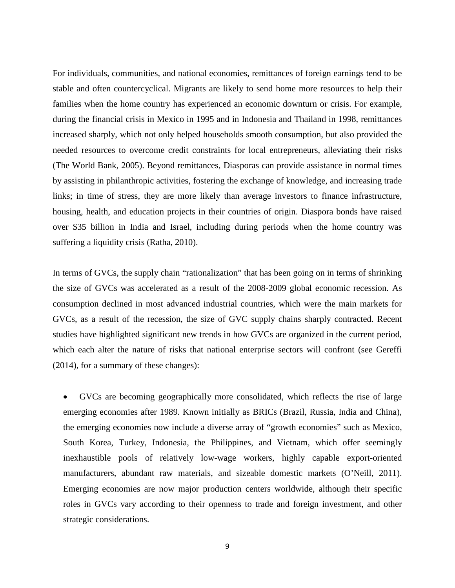For individuals, communities, and national economies, remittances of foreign earnings tend to be stable and often countercyclical. Migrants are likely to send home more resources to help their families when the home country has experienced an economic downturn or crisis. For example, during the financial crisis in Mexico in 1995 and in Indonesia and Thailand in 1998, remittances increased sharply, which not only helped households smooth consumption, but also provided the needed resources to overcome credit constraints for local entrepreneurs, alleviating their risks (The World Bank, 2005). Beyond remittances, Diasporas can provide assistance in normal times by assisting in philanthropic activities, fostering the exchange of knowledge, and increasing trade links; in time of stress, they are more likely than average investors to finance infrastructure, housing, health, and education projects in their countries of origin. Diaspora bonds have raised over \$35 billion in India and Israel, including during periods when the home country was suffering a liquidity crisis (Ratha, 2010).

In terms of GVCs, the supply chain "rationalization" that has been going on in terms of shrinking the size of GVCs was accelerated as a result of the 2008-2009 global economic recession. As consumption declined in most advanced industrial countries, which were the main markets for GVCs, as a result of the recession, the size of GVC supply chains sharply contracted. Recent studies have highlighted significant new trends in how GVCs are organized in the current period, which each alter the nature of risks that national enterprise sectors will confront (see Gereffi (2014), for a summary of these changes):

• GVCs are becoming geographically more consolidated, which reflects the rise of large emerging economies after 1989. Known initially as BRICs (Brazil, Russia, India and China), the emerging economies now include a diverse array of "growth economies" such as Mexico, South Korea, Turkey, Indonesia, the Philippines, and Vietnam, which offer seemingly inexhaustible pools of relatively low-wage workers, highly capable export-oriented manufacturers, abundant raw materials, and sizeable domestic markets (O'Neill, 2011). Emerging economies are now major production centers worldwide, although their specific roles in GVCs vary according to their openness to trade and foreign investment, and other strategic considerations.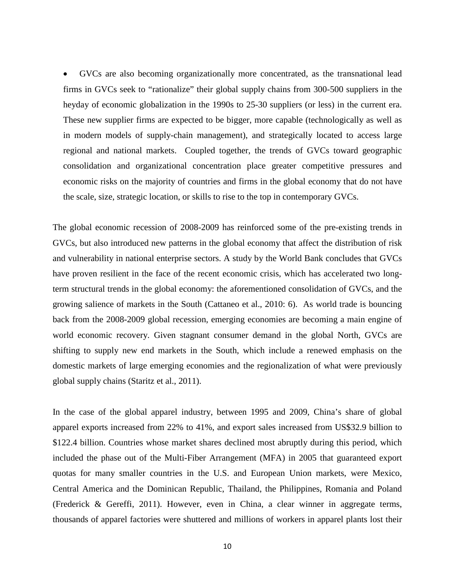• GVCs are also becoming organizationally more concentrated, as the transnational lead firms in GVCs seek to "rationalize" their global supply chains from 300-500 suppliers in the heyday of economic globalization in the 1990s to 25-30 suppliers (or less) in the current era. These new supplier firms are expected to be bigger, more capable (technologically as well as in modern models of supply-chain management), and strategically located to access large regional and national markets. Coupled together, the trends of GVCs toward geographic consolidation and organizational concentration place greater competitive pressures and economic risks on the majority of countries and firms in the global economy that do not have the scale, size, strategic location, or skills to rise to the top in contemporary GVCs.

The global economic recession of 2008-2009 has reinforced some of the pre-existing trends in GVCs, but also introduced new patterns in the global economy that affect the distribution of risk and vulnerability in national enterprise sectors. A study by the World Bank concludes that GVCs have proven resilient in the face of the recent economic crisis, which has accelerated two longterm structural trends in the global economy: the aforementioned consolidation of GVCs, and the growing salience of markets in the South (Cattaneo et al., 2010: 6). As world trade is bouncing back from the 2008-2009 global recession, emerging economies are becoming a main engine of world economic recovery. Given stagnant consumer demand in the global North, GVCs are shifting to supply new end markets in the South, which include a renewed emphasis on the domestic markets of large emerging economies and the regionalization of what were previously global supply chains (Staritz et al., 2011).

In the case of the global apparel industry, between 1995 and 2009, China's share of global apparel exports increased from 22% to 41%, and export sales increased from US\$32.9 billion to \$122.4 billion. Countries whose market shares declined most abruptly during this period, which included the phase out of the Multi-Fiber Arrangement (MFA) in 2005 that guaranteed export quotas for many smaller countries in the U.S. and European Union markets, were Mexico, Central America and the Dominican Republic, Thailand, the Philippines, Romania and Poland (Frederick & Gereffi, 2011). However, even in China, a clear winner in aggregate terms, thousands of apparel factories were shuttered and millions of workers in apparel plants lost their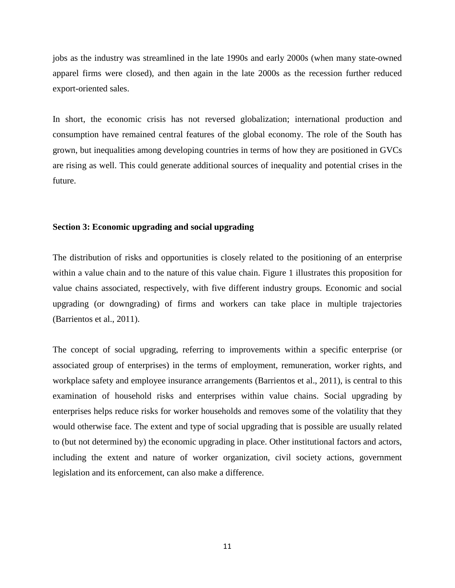jobs as the industry was streamlined in the late 1990s and early 2000s (when many state-owned apparel firms were closed), and then again in the late 2000s as the recession further reduced export-oriented sales.

In short, the economic crisis has not reversed globalization; international production and consumption have remained central features of the global economy. The role of the South has grown, but inequalities among developing countries in terms of how they are positioned in GVCs are rising as well. This could generate additional sources of inequality and potential crises in the future.

#### **Section 3: Economic upgrading and social upgrading**

The distribution of risks and opportunities is closely related to the positioning of an enterprise within a value chain and to the nature of this value chain. Figure 1 illustrates this proposition for value chains associated, respectively, with five different industry groups. Economic and social upgrading (or downgrading) of firms and workers can take place in multiple trajectories (Barrientos et al., 2011).

The concept of social upgrading, referring to improvements within a specific enterprise (or associated group of enterprises) in the terms of employment, remuneration, worker rights, and workplace safety and employee insurance arrangements (Barrientos et al., 2011), is central to this examination of household risks and enterprises within value chains. Social upgrading by enterprises helps reduce risks for worker households and removes some of the volatility that they would otherwise face. The extent and type of social upgrading that is possible are usually related to (but not determined by) the economic upgrading in place. Other institutional factors and actors, including the extent and nature of worker organization, civil society actions, government legislation and its enforcement, can also make a difference.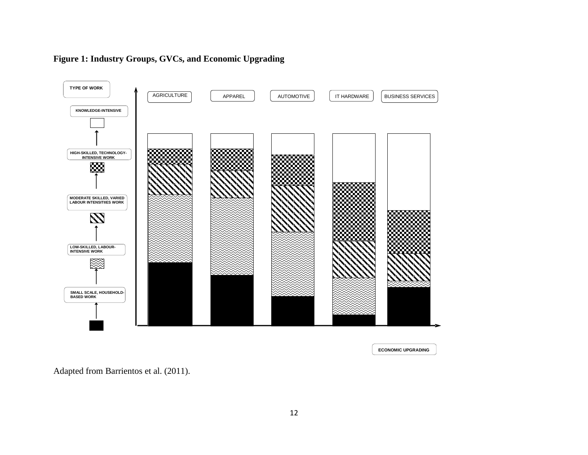



**ECONOMIC UPGRADING**

Adapted from Barrientos et al. (2011).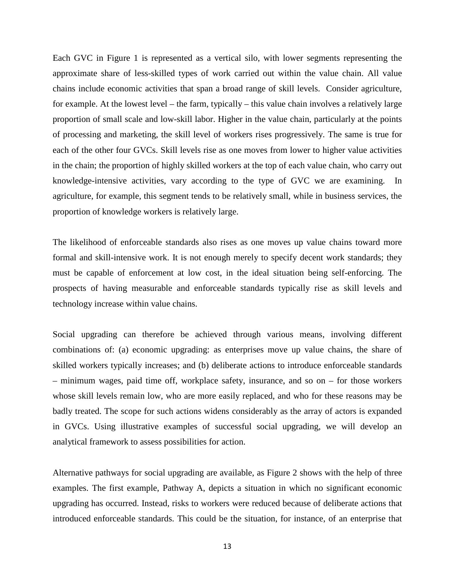Each GVC in Figure 1 is represented as a vertical silo, with lower segments representing the approximate share of less-skilled types of work carried out within the value chain. All value chains include economic activities that span a broad range of skill levels. Consider agriculture, for example. At the lowest level – the farm, typically – this value chain involves a relatively large proportion of small scale and low-skill labor. Higher in the value chain, particularly at the points of processing and marketing, the skill level of workers rises progressively. The same is true for each of the other four GVCs. Skill levels rise as one moves from lower to higher value activities in the chain; the proportion of highly skilled workers at the top of each value chain, who carry out knowledge-intensive activities, vary according to the type of GVC we are examining. In agriculture, for example, this segment tends to be relatively small, while in business services, the proportion of knowledge workers is relatively large.

The likelihood of enforceable standards also rises as one moves up value chains toward more formal and skill-intensive work. It is not enough merely to specify decent work standards; they must be capable of enforcement at low cost, in the ideal situation being self-enforcing. The prospects of having measurable and enforceable standards typically rise as skill levels and technology increase within value chains.

Social upgrading can therefore be achieved through various means, involving different combinations of: (a) economic upgrading: as enterprises move up value chains, the share of skilled workers typically increases; and (b) deliberate actions to introduce enforceable standards – minimum wages, paid time off, workplace safety, insurance, and so on – for those workers whose skill levels remain low, who are more easily replaced, and who for these reasons may be badly treated. The scope for such actions widens considerably as the array of actors is expanded in GVCs. Using illustrative examples of successful social upgrading, we will develop an analytical framework to assess possibilities for action.

Alternative pathways for social upgrading are available, as Figure 2 shows with the help of three examples. The first example, Pathway A, depicts a situation in which no significant economic upgrading has occurred. Instead, risks to workers were reduced because of deliberate actions that introduced enforceable standards. This could be the situation, for instance, of an enterprise that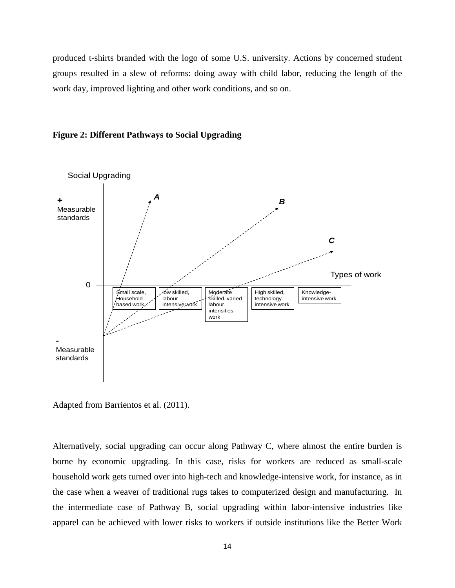produced t-shirts branded with the logo of some U.S. university. Actions by concerned student groups resulted in a slew of reforms: doing away with child labor, reducing the length of the work day, improved lighting and other work conditions, and so on.





Adapted from Barrientos et al. (2011).

Alternatively, social upgrading can occur along Pathway C, where almost the entire burden is borne by economic upgrading. In this case, risks for workers are reduced as small-scale household work gets turned over into high-tech and knowledge-intensive work, for instance, as in the case when a weaver of traditional rugs takes to computerized design and manufacturing. In the intermediate case of Pathway B, social upgrading within labor-intensive industries like apparel can be achieved with lower risks to workers if outside institutions like the Better Work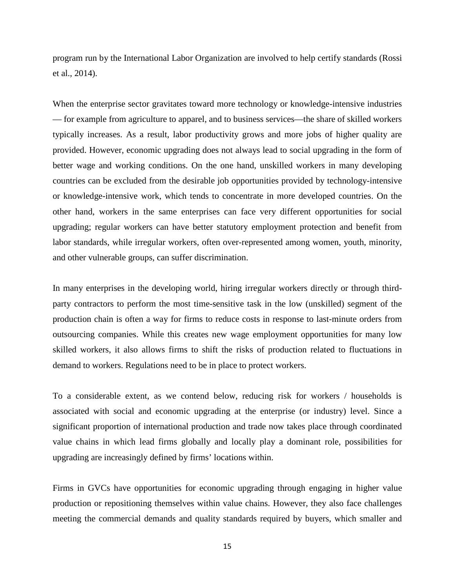program run by the International Labor Organization are involved to help certify standards (Rossi et al., 2014).

When the enterprise sector gravitates toward more technology or knowledge-intensive industries — for example from agriculture to apparel, and to business services—the share of skilled workers typically increases. As a result, labor productivity grows and more jobs of higher quality are provided. However, economic upgrading does not always lead to social upgrading in the form of better wage and working conditions. On the one hand, unskilled workers in many developing countries can be excluded from the desirable job opportunities provided by technology-intensive or knowledge-intensive work, which tends to concentrate in more developed countries. On the other hand, workers in the same enterprises can face very different opportunities for social upgrading; regular workers can have better statutory employment protection and benefit from labor standards, while irregular workers, often over-represented among women, youth, minority, and other vulnerable groups, can suffer discrimination.

In many enterprises in the developing world, hiring irregular workers directly or through thirdparty contractors to perform the most time-sensitive task in the low (unskilled) segment of the production chain is often a way for firms to reduce costs in response to last-minute orders from outsourcing companies. While this creates new wage employment opportunities for many low skilled workers, it also allows firms to shift the risks of production related to fluctuations in demand to workers. Regulations need to be in place to protect workers.

To a considerable extent, as we contend below, reducing risk for workers / households is associated with social and economic upgrading at the enterprise (or industry) level. Since a significant proportion of international production and trade now takes place through coordinated value chains in which lead firms globally and locally play a dominant role, possibilities for upgrading are increasingly defined by firms' locations within.

Firms in GVCs have opportunities for economic upgrading through engaging in higher value production or repositioning themselves within value chains. However, they also face challenges meeting the commercial demands and quality standards required by buyers, which smaller and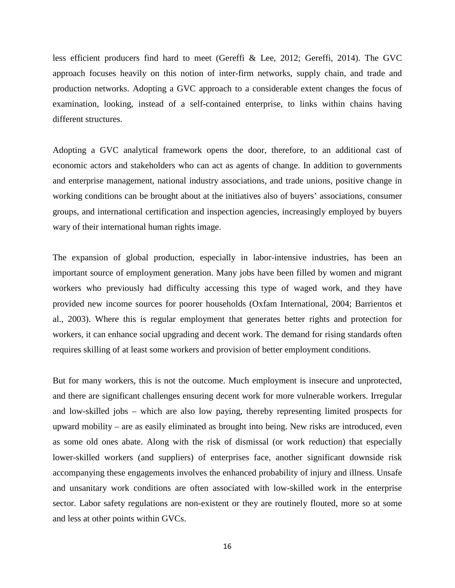less efficient producers find hard to meet (Gereffi & Lee, 2012; Gereffi, 2014). The GVC approach focuses heavily on this notion of inter-firm networks, supply chain, and trade and production networks. Adopting a GVC approach to a considerable extent changes the focus of examination, looking, instead of a self-contained enterprise, to links within chains having different structures.

Adopting a GVC analytical framework opens the door, therefore, to an additional cast of economic actors and stakeholders who can act as agents of change. In addition to governments and enterprise management, national industry associations, and trade unions, positive change in working conditions can be brought about at the initiatives also of buyers' associations, consumer groups, and international certification and inspection agencies, increasingly employed by buyers wary of their international human rights image.

The expansion of global production, especially in labor-intensive industries, has been an important source of employment generation. Many jobs have been filled by women and migrant workers who previously had difficulty accessing this type of waged work, and they have provided new income sources for poorer households (Oxfam International, 2004; Barrientos et al., 2003). Where this is regular employment that generates better rights and protection for workers, it can enhance social upgrading and decent work. The demand for rising standards often requires skilling of at least some workers and provision of better employment conditions.

But for many workers, this is not the outcome. Much employment is insecure and unprotected, and there are significant challenges ensuring decent work for more vulnerable workers. Irregular and low-skilled jobs – which are also low paying, thereby representing limited prospects for upward mobility – are as easily eliminated as brought into being. New risks are introduced, even as some old ones abate. Along with the risk of dismissal (or work reduction) that especially lower-skilled workers (and suppliers) of enterprises face, another significant downside risk accompanying these engagements involves the enhanced probability of injury and illness. Unsafe and unsanitary work conditions are often associated with low-skilled work in the enterprise sector. Labor safety regulations are non-existent or they are routinely flouted, more so at some and less at other points within GVCs.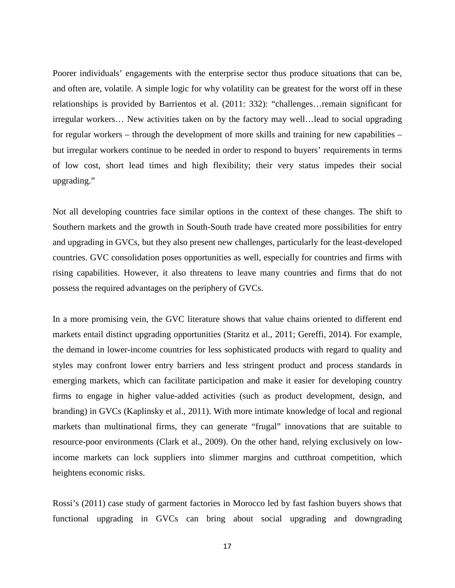Poorer individuals' engagements with the enterprise sector thus produce situations that can be, and often are, volatile. A simple logic for why volatility can be greatest for the worst off in these relationships is provided by Barrientos et al. (2011: 332): "challenges…remain significant for irregular workers… New activities taken on by the factory may well…lead to social upgrading for regular workers – through the development of more skills and training for new capabilities – but irregular workers continue to be needed in order to respond to buyers' requirements in terms of low cost, short lead times and high flexibility; their very status impedes their social upgrading."

Not all developing countries face similar options in the context of these changes. The shift to Southern markets and the growth in South-South trade have created more possibilities for entry and upgrading in GVCs, but they also present new challenges, particularly for the least-developed countries. GVC consolidation poses opportunities as well, especially for countries and firms with rising capabilities. However, it also threatens to leave many countries and firms that do not possess the required advantages on the periphery of GVCs.

In a more promising vein, the GVC literature shows that value chains oriented to different end markets entail distinct upgrading opportunities (Staritz et al., 2011; Gereffi, 2014). For example, the demand in lower-income countries for less sophisticated products with regard to quality and styles may confront lower entry barriers and less stringent product and process standards in emerging markets, which can facilitate participation and make it easier for developing country firms to engage in higher value-added activities (such as product development, design, and branding) in GVCs (Kaplinsky et al., 2011). With more intimate knowledge of local and regional markets than multinational firms, they can generate "frugal" innovations that are suitable to resource-poor environments (Clark et al., 2009). On the other hand, relying exclusively on lowincome markets can lock suppliers into slimmer margins and cutthroat competition, which heightens economic risks.

Rossi's (2011) case study of garment factories in Morocco led by fast fashion buyers shows that functional upgrading in GVCs can bring about social upgrading and downgrading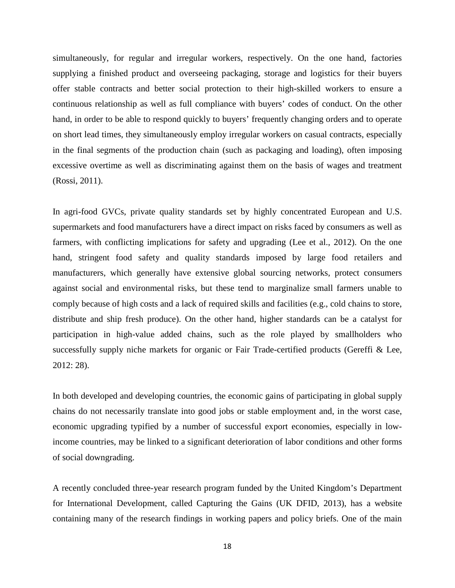simultaneously, for regular and irregular workers, respectively. On the one hand, factories supplying a finished product and overseeing packaging, storage and logistics for their buyers offer stable contracts and better social protection to their high-skilled workers to ensure a continuous relationship as well as full compliance with buyers' codes of conduct. On the other hand, in order to be able to respond quickly to buyers' frequently changing orders and to operate on short lead times, they simultaneously employ irregular workers on casual contracts, especially in the final segments of the production chain (such as packaging and loading), often imposing excessive overtime as well as discriminating against them on the basis of wages and treatment (Rossi, 2011).

In agri-food GVCs, private quality standards set by highly concentrated European and U.S. supermarkets and food manufacturers have a direct impact on risks faced by consumers as well as farmers, with conflicting implications for safety and upgrading (Lee et al., 2012). On the one hand, stringent food safety and quality standards imposed by large food retailers and manufacturers, which generally have extensive global sourcing networks, protect consumers against social and environmental risks, but these tend to marginalize small farmers unable to comply because of high costs and a lack of required skills and facilities (e.g., cold chains to store, distribute and ship fresh produce). On the other hand, higher standards can be a catalyst for participation in high-value added chains, such as the role played by smallholders who successfully supply niche markets for organic or Fair Trade-certified products (Gereffi & Lee, 2012: 28).

In both developed and developing countries, the economic gains of participating in global supply chains do not necessarily translate into good jobs or stable employment and, in the worst case, economic upgrading typified by a number of successful export economies, especially in lowincome countries, may be linked to a significant deterioration of labor conditions and other forms of social downgrading.

A recently concluded three-year research program funded by the United Kingdom's Department for International Development, called Capturing the Gains (UK DFID, 2013), has a website containing many of the research findings in working papers and policy briefs. One of the main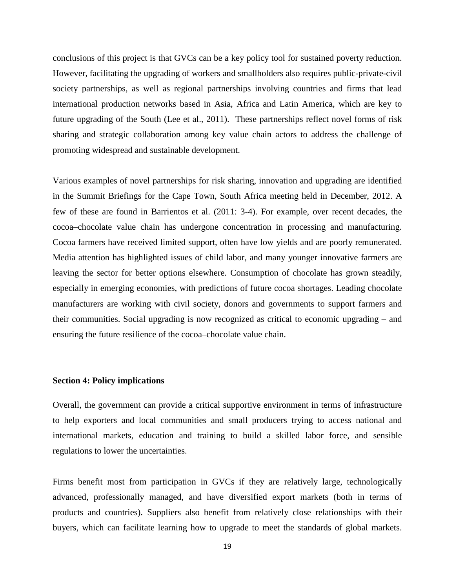conclusions of this project is that GVCs can be a key policy tool for sustained poverty reduction. However, facilitating the upgrading of workers and smallholders also requires public-private-civil society partnerships, as well as regional partnerships involving countries and firms that lead international production networks based in Asia, Africa and Latin America, which are key to future upgrading of the South (Lee et al., 2011). These partnerships reflect novel forms of risk sharing and strategic collaboration among key value chain actors to address the challenge of promoting widespread and sustainable development.

Various examples of novel partnerships for risk sharing, innovation and upgrading are identified in the Summit Briefings for the Cape Town, South Africa meeting held in December, 2012. A few of these are found in Barrientos et al. (2011: 3-4). For example, over recent decades, the cocoa–chocolate value chain has undergone concentration in processing and manufacturing. Cocoa farmers have received limited support, often have low yields and are poorly remunerated. Media attention has highlighted issues of child labor, and many younger innovative farmers are leaving the sector for better options elsewhere. Consumption of chocolate has grown steadily, especially in emerging economies, with predictions of future cocoa shortages. Leading chocolate manufacturers are working with civil society, donors and governments to support farmers and their communities. Social upgrading is now recognized as critical to economic upgrading – and ensuring the future resilience of the cocoa–chocolate value chain.

#### **Section 4: Policy implications**

Overall, the government can provide a critical supportive environment in terms of infrastructure to help exporters and local communities and small producers trying to access national and international markets, education and training to build a skilled labor force, and sensible regulations to lower the uncertainties.

Firms benefit most from participation in GVCs if they are relatively large, technologically advanced, professionally managed, and have diversified export markets (both in terms of products and countries). Suppliers also benefit from relatively close relationships with their buyers, which can facilitate learning how to upgrade to meet the standards of global markets.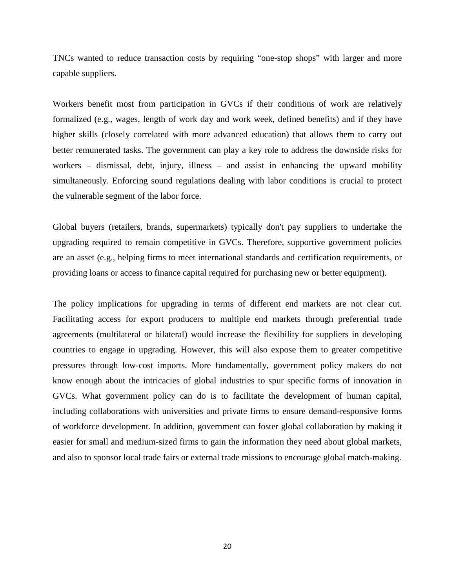TNCs wanted to reduce transaction costs by requiring "one-stop shops" with larger and more capable suppliers.

Workers benefit most from participation in GVCs if their conditions of work are relatively formalized (e.g., wages, length of work day and work week, defined benefits) and if they have higher skills (closely correlated with more advanced education) that allows them to carry out better remunerated tasks. The government can play a key role to address the downside risks for workers – dismissal, debt, injury, illness – and assist in enhancing the upward mobility simultaneously. Enforcing sound regulations dealing with labor conditions is crucial to protect the vulnerable segment of the labor force.

Global buyers (retailers, brands, supermarkets) typically don't pay suppliers to undertake the upgrading required to remain competitive in GVCs. Therefore, supportive government policies are an asset (e.g., helping firms to meet international standards and certification requirements, or providing loans or access to finance capital required for purchasing new or better equipment).

The policy implications for upgrading in terms of different end markets are not clear cut. Facilitating access for export producers to multiple end markets through preferential trade agreements (multilateral or bilateral) would increase the flexibility for suppliers in developing countries to engage in upgrading. However, this will also expose them to greater competitive pressures through low-cost imports. More fundamentally, government policy makers do not know enough about the intricacies of global industries to spur specific forms of innovation in GVCs. What government policy can do is to facilitate the development of human capital, including collaborations with universities and private firms to ensure demand-responsive forms of workforce development. In addition, government can foster global collaboration by making it easier for small and medium-sized firms to gain the information they need about global markets, and also to sponsor local trade fairs or external trade missions to encourage global match-making.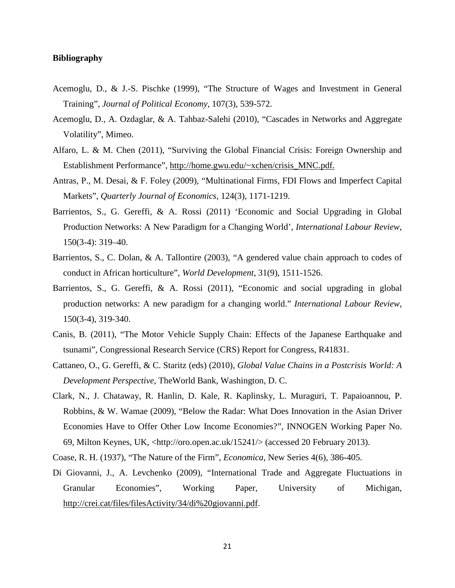#### **Bibliography**

- Acemoglu, D., & J.-S. Pischke (1999), "The Structure of Wages and Investment in General Training", *Journal of Political Economy*, 107(3), 539-572.
- Acemoglu, D., A. Ozdaglar, & A. Tahbaz-Salehi (2010), "Cascades in Networks and Aggregate Volatility", Mimeo.
- Alfaro, L. & M. Chen (2011), "Surviving the Global Financial Crisis: Foreign Ownership and Establishment Performance", [http://home.gwu.edu/~xchen/crisis\\_MNC.pdf.](http://home.gwu.edu/%7Exchen/crisis_MNC.pdf)
- Antras, P., M. Desai, & F. Foley (2009), "Multinational Firms, FDI Flows and Imperfect Capital Markets", *Quarterly Journal of Economics*, 124(3), 1171-1219.
- Barrientos, S., G. Gereffi, & A. Rossi (2011) 'Economic and Social Upgrading in Global Production Networks: A New Paradigm for a Changing World', *International Labour Review*, 150(3-4): 319–40.
- Barrientos, S., C. Dolan, & A. Tallontire (2003), "A gendered value chain approach to codes of conduct in African horticulture", *World Development*, 31(9), 1511-1526.
- Barrientos, S., G. Gereffi, & A. Rossi (2011), "Economic and social upgrading in global production networks: A new paradigm for a changing world." *International Labour Review*, 150(3-4), 319-340.
- Canis, B. (2011), "The Motor Vehicle Supply Chain: Effects of the Japanese Earthquake and tsunami", Congressional Research Service (CRS) Report for Congress, R41831.
- Cattaneo, O., G. Gereffi, & C. Staritz (eds) (2010), *Global Value Chains in a Postcrisis World: A Development Perspective*, TheWorld Bank, Washington, D. C.
- Clark, N., J. Chataway, R. Hanlin, D. Kale, R. Kaplinsky, L. Muraguri, T. Papaioannou, P. Robbins, & W. Wamae (2009), "Below the Radar: What Does Innovation in the Asian Driver Economies Have to Offer Other Low Income Economies?", INNOGEN Working Paper No. 69, Milton Keynes, UK, <http://oro.open.ac.uk/15241/> (accessed 20 February 2013).
- Coase, R. H. (1937), "The Nature of the Firm", *Economica*, New Series 4(6), 386-405.
- Di Giovanni, J., A. Levchenko (2009), "International Trade and Aggregate Fluctuations in Granular Economies", Working Paper, University of Michigan, [http://crei.cat/files/filesActivity/34/di%20giovanni.pdf.](http://crei.cat/files/filesActivity/34/di%20giovanni.pdf)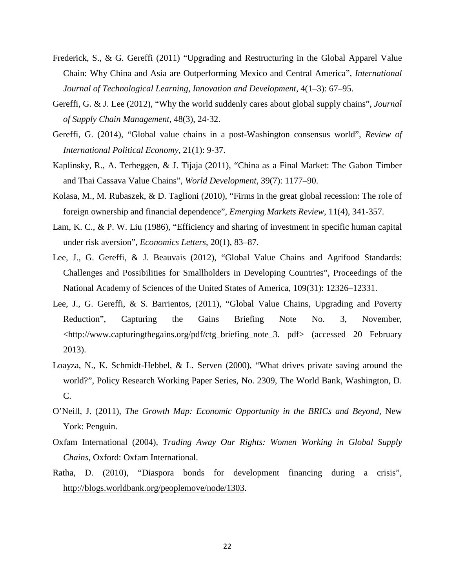- Frederick, S., & G. Gereffi (2011) "Upgrading and Restructuring in the Global Apparel Value Chain: Why China and Asia are Outperforming Mexico and Central America", *International Journal of Technological Learning, Innovation and Development*, 4(1–3): 67–95.
- Gereffi, G. & J. Lee (2012), "Why the world suddenly cares about global supply chains", *Journal of Supply Chain Management*, 48(3), 24-32.
- Gereffi, G. (2014), "Global value chains in a post-Washington consensus world", *Review of International Political Economy*, 21(1): 9-37.
- Kaplinsky, R., A. Terheggen, & J. Tijaja (2011), "China as a Final Market: The Gabon Timber and Thai Cassava Value Chains", *World Development*, 39(7): 1177–90.
- Kolasa, M., M. Rubaszek, & D. Taglioni (2010), "Firms in the great global recession: The role of foreign ownership and financial dependence", *Emerging Markets Review*, 11(4), 341-357.
- Lam, K. C., & P. W. Liu (1986), "Efficiency and sharing of investment in specific human capital under risk aversion", *Economics Letters*, 20(1), 83–87.
- Lee, J., G. Gereffi, & J. Beauvais (2012), "Global Value Chains and Agrifood Standards: Challenges and Possibilities for Smallholders in Developing Countries", Proceedings of the National Academy of Sciences of the United States of America, 109(31): 12326–12331.
- Lee, J., G. Gereffi, & S. Barrientos, (2011), "Global Value Chains, Upgrading and Poverty Reduction", Capturing the Gains Briefing Note No. 3, November, <http://www.capturingthegains.org/pdf/ctg\_briefing\_note\_3. pdf> (accessed 20 February 2013).
- Loayza, N., K. Schmidt-Hebbel, & L. Serven (2000), ["What drives private saving around the](http://ideas.repec.org/p/wbk/wbrwps/2309.html)  [world?"](http://ideas.repec.org/p/wbk/wbrwps/2309.html), [Policy Research Working Paper Series,](http://ideas.repec.org/s/wbk/wbrwps.html) No. 2309, The World Bank, Washington, D. C.
- O'Neill, J. (2011), *The Growth Map: Economic Opportunity in the BRICs and Beyond*, New York: Penguin.
- Oxfam International (2004), *Trading Away Our Rights: Women Working in Global Supply Chains*, Oxford: Oxfam International.
- Ratha, D. (2010), "Diaspora bonds for development financing during a crisis", [http://blogs.worldbank.org/peoplemove/node/1303.](http://blogs.worldbank.org/peoplemove/node/1303)